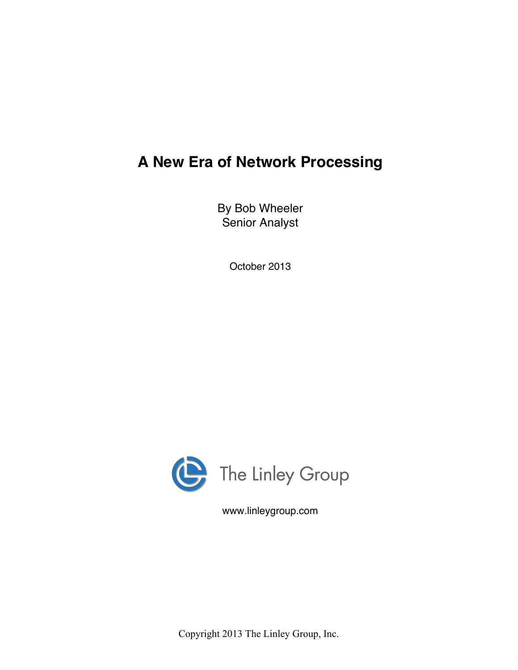# **A New Era of Network Processing**

By Bob Wheeler Senior Analyst

October 2013



www.linleygroup.com

Copyright 2013 The Linley Group, Inc.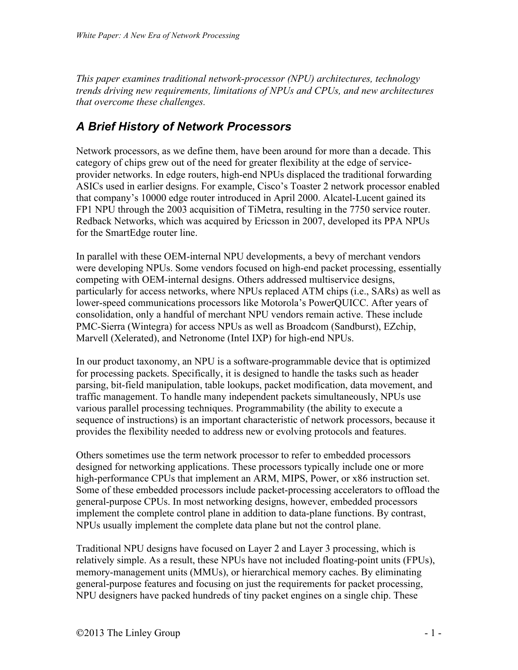*This paper examines traditional network-processor (NPU) architectures, technology trends driving new requirements, limitations of NPUs and CPUs, and new architectures that overcome these challenges.*

#### *A Brief History of Network Processors*

Network processors, as we define them, have been around for more than a decade. This category of chips grew out of the need for greater flexibility at the edge of serviceprovider networks. In edge routers, high-end NPUs displaced the traditional forwarding ASICs used in earlier designs. For example, Cisco's Toaster 2 network processor enabled that company's 10000 edge router introduced in April 2000. Alcatel-Lucent gained its FP1 NPU through the 2003 acquisition of TiMetra, resulting in the 7750 service router. Redback Networks, which was acquired by Ericsson in 2007, developed its PPA NPUs for the SmartEdge router line.

In parallel with these OEM-internal NPU developments, a bevy of merchant vendors were developing NPUs. Some vendors focused on high-end packet processing, essentially competing with OEM-internal designs. Others addressed multiservice designs, particularly for access networks, where NPUs replaced ATM chips (i.e., SARs) as well as lower-speed communications processors like Motorola's PowerQUICC. After years of consolidation, only a handful of merchant NPU vendors remain active. These include PMC-Sierra (Wintegra) for access NPUs as well as Broadcom (Sandburst), EZchip, Marvell (Xelerated), and Netronome (Intel IXP) for high-end NPUs.

In our product taxonomy, an NPU is a software-programmable device that is optimized for processing packets. Specifically, it is designed to handle the tasks such as header parsing, bit-field manipulation, table lookups, packet modification, data movement, and traffic management. To handle many independent packets simultaneously, NPUs use various parallel processing techniques. Programmability (the ability to execute a sequence of instructions) is an important characteristic of network processors, because it provides the flexibility needed to address new or evolving protocols and features.

Others sometimes use the term network processor to refer to embedded processors designed for networking applications. These processors typically include one or more high-performance CPUs that implement an ARM, MIPS, Power, or x86 instruction set. Some of these embedded processors include packet-processing accelerators to offload the general-purpose CPUs. In most networking designs, however, embedded processors implement the complete control plane in addition to data-plane functions. By contrast, NPUs usually implement the complete data plane but not the control plane.

Traditional NPU designs have focused on Layer 2 and Layer 3 processing, which is relatively simple. As a result, these NPUs have not included floating-point units (FPUs), memory-management units (MMUs), or hierarchical memory caches. By eliminating general-purpose features and focusing on just the requirements for packet processing, NPU designers have packed hundreds of tiny packet engines on a single chip. These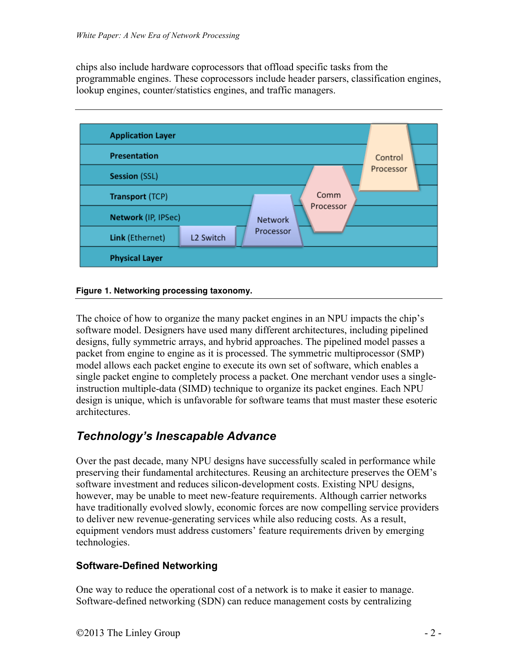chips also include hardware coprocessors that offload specific tasks from the programmable engines. These coprocessors include header parsers, classification engines, lookup engines, counter/statistics engines, and traffic managers.





The choice of how to organize the many packet engines in an NPU impacts the chip's software model. Designers have used many different architectures, including pipelined designs, fully symmetric arrays, and hybrid approaches. The pipelined model passes a packet from engine to engine as it is processed. The symmetric multiprocessor (SMP) model allows each packet engine to execute its own set of software, which enables a single packet engine to completely process a packet. One merchant vendor uses a singleinstruction multiple-data (SIMD) technique to organize its packet engines. Each NPU design is unique, which is unfavorable for software teams that must master these esoteric architectures.

## *Technology's Inescapable Advance*

Over the past decade, many NPU designs have successfully scaled in performance while preserving their fundamental architectures. Reusing an architecture preserves the OEM's software investment and reduces silicon-development costs. Existing NPU designs, however, may be unable to meet new-feature requirements. Although carrier networks have traditionally evolved slowly, economic forces are now compelling service providers to deliver new revenue-generating services while also reducing costs. As a result, equipment vendors must address customers' feature requirements driven by emerging technologies.

#### **Software-Defined Networking**

One way to reduce the operational cost of a network is to make it easier to manage. Software-defined networking (SDN) can reduce management costs by centralizing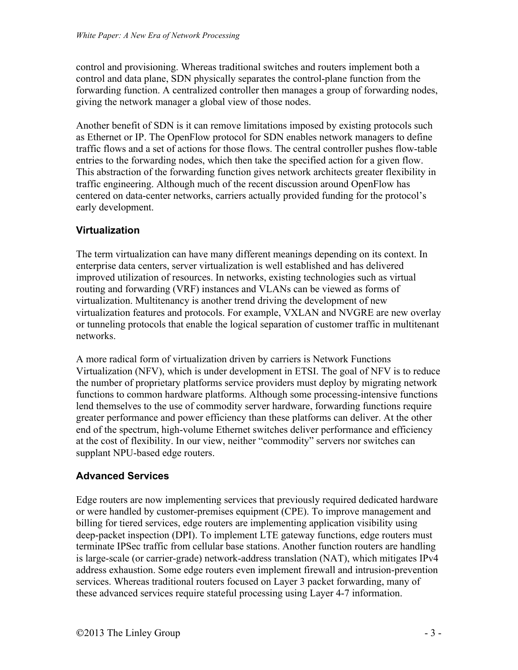control and provisioning. Whereas traditional switches and routers implement both a control and data plane, SDN physically separates the control-plane function from the forwarding function. A centralized controller then manages a group of forwarding nodes, giving the network manager a global view of those nodes.

Another benefit of SDN is it can remove limitations imposed by existing protocols such as Ethernet or IP. The OpenFlow protocol for SDN enables network managers to define traffic flows and a set of actions for those flows. The central controller pushes flow-table entries to the forwarding nodes, which then take the specified action for a given flow. This abstraction of the forwarding function gives network architects greater flexibility in traffic engineering. Although much of the recent discussion around OpenFlow has centered on data-center networks, carriers actually provided funding for the protocol's early development.

#### **Virtualization**

The term virtualization can have many different meanings depending on its context. In enterprise data centers, server virtualization is well established and has delivered improved utilization of resources. In networks, existing technologies such as virtual routing and forwarding (VRF) instances and VLANs can be viewed as forms of virtualization. Multitenancy is another trend driving the development of new virtualization features and protocols. For example, VXLAN and NVGRE are new overlay or tunneling protocols that enable the logical separation of customer traffic in multitenant networks.

A more radical form of virtualization driven by carriers is Network Functions Virtualization (NFV), which is under development in ETSI. The goal of NFV is to reduce the number of proprietary platforms service providers must deploy by migrating network functions to common hardware platforms. Although some processing-intensive functions lend themselves to the use of commodity server hardware, forwarding functions require greater performance and power efficiency than these platforms can deliver. At the other end of the spectrum, high-volume Ethernet switches deliver performance and efficiency at the cost of flexibility. In our view, neither "commodity" servers nor switches can supplant NPU-based edge routers.

#### **Advanced Services**

Edge routers are now implementing services that previously required dedicated hardware or were handled by customer-premises equipment (CPE). To improve management and billing for tiered services, edge routers are implementing application visibility using deep-packet inspection (DPI). To implement LTE gateway functions, edge routers must terminate IPSec traffic from cellular base stations. Another function routers are handling is large-scale (or carrier-grade) network-address translation (NAT), which mitigates IPv4 address exhaustion. Some edge routers even implement firewall and intrusion-prevention services. Whereas traditional routers focused on Layer 3 packet forwarding, many of these advanced services require stateful processing using Layer 4-7 information.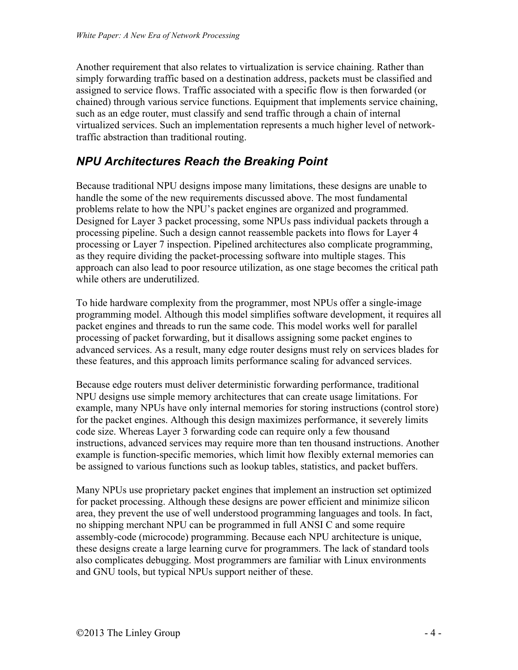Another requirement that also relates to virtualization is service chaining. Rather than simply forwarding traffic based on a destination address, packets must be classified and assigned to service flows. Traffic associated with a specific flow is then forwarded (or chained) through various service functions. Equipment that implements service chaining, such as an edge router, must classify and send traffic through a chain of internal virtualized services. Such an implementation represents a much higher level of networktraffic abstraction than traditional routing.

### *NPU Architectures Reach the Breaking Point*

Because traditional NPU designs impose many limitations, these designs are unable to handle the some of the new requirements discussed above. The most fundamental problems relate to how the NPU's packet engines are organized and programmed. Designed for Layer 3 packet processing, some NPUs pass individual packets through a processing pipeline. Such a design cannot reassemble packets into flows for Layer 4 processing or Layer 7 inspection. Pipelined architectures also complicate programming, as they require dividing the packet-processing software into multiple stages. This approach can also lead to poor resource utilization, as one stage becomes the critical path while others are underutilized.

To hide hardware complexity from the programmer, most NPUs offer a single-image programming model. Although this model simplifies software development, it requires all packet engines and threads to run the same code. This model works well for parallel processing of packet forwarding, but it disallows assigning some packet engines to advanced services. As a result, many edge router designs must rely on services blades for these features, and this approach limits performance scaling for advanced services.

Because edge routers must deliver deterministic forwarding performance, traditional NPU designs use simple memory architectures that can create usage limitations. For example, many NPUs have only internal memories for storing instructions (control store) for the packet engines. Although this design maximizes performance, it severely limits code size. Whereas Layer 3 forwarding code can require only a few thousand instructions, advanced services may require more than ten thousand instructions. Another example is function-specific memories, which limit how flexibly external memories can be assigned to various functions such as lookup tables, statistics, and packet buffers.

Many NPUs use proprietary packet engines that implement an instruction set optimized for packet processing. Although these designs are power efficient and minimize silicon area, they prevent the use of well understood programming languages and tools. In fact, no shipping merchant NPU can be programmed in full ANSI C and some require assembly-code (microcode) programming. Because each NPU architecture is unique, these designs create a large learning curve for programmers. The lack of standard tools also complicates debugging. Most programmers are familiar with Linux environments and GNU tools, but typical NPUs support neither of these.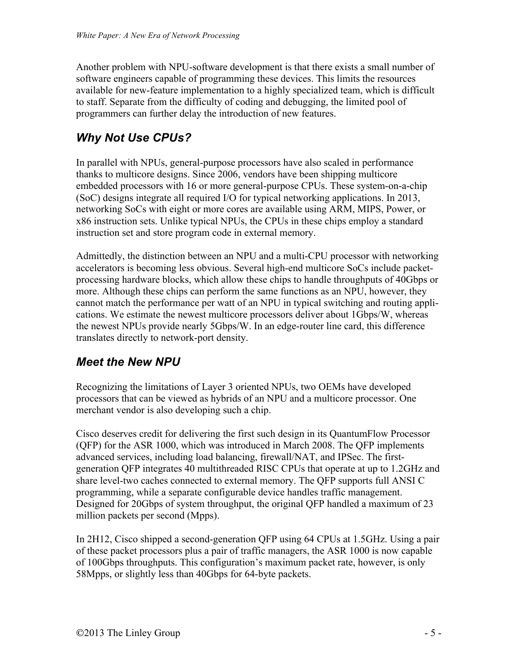Another problem with NPU-software development is that there exists a small number of software engineers capable of programming these devices. This limits the resources available for new-feature implementation to a highly specialized team, which is difficult to staff. Separate from the difficulty of coding and debugging, the limited pool of programmers can further delay the introduction of new features.

# *Why Not Use CPUs?*

In parallel with NPUs, general-purpose processors have also scaled in performance thanks to multicore designs. Since 2006, vendors have been shipping multicore embedded processors with 16 or more general-purpose CPUs. These system-on-a-chip (SoC) designs integrate all required I/O for typical networking applications. In 2013, networking SoCs with eight or more cores are available using ARM, MIPS, Power, or x86 instruction sets. Unlike typical NPUs, the CPUs in these chips employ a standard instruction set and store program code in external memory.

Admittedly, the distinction between an NPU and a multi-CPU processor with networking accelerators is becoming less obvious. Several high-end multicore SoCs include packetprocessing hardware blocks, which allow these chips to handle throughputs of 40Gbps or more. Although these chips can perform the same functions as an NPU, however, they cannot match the performance per watt of an NPU in typical switching and routing applications. We estimate the newest multicore processors deliver about 1Gbps/W, whereas the newest NPUs provide nearly 5Gbps/W. In an edge-router line card, this difference translates directly to network-port density.

## *Meet the New NPU*

Recognizing the limitations of Layer 3 oriented NPUs, two OEMs have developed processors that can be viewed as hybrids of an NPU and a multicore processor. One merchant vendor is also developing such a chip.

Cisco deserves credit for delivering the first such design in its QuantumFlow Processor (QFP) for the ASR 1000, which was introduced in March 2008. The QFP implements advanced services, including load balancing, firewall/NAT, and IPSec. The firstgeneration QFP integrates 40 multithreaded RISC CPUs that operate at up to 1.2GHz and share level-two caches connected to external memory. The QFP supports full ANSI C programming, while a separate configurable device handles traffic management. Designed for 20Gbps of system throughput, the original QFP handled a maximum of 23 million packets per second (Mpps).

In 2H12, Cisco shipped a second-generation QFP using 64 CPUs at 1.5GHz. Using a pair of these packet processors plus a pair of traffic managers, the ASR 1000 is now capable of 100Gbps throughputs. This configuration's maximum packet rate, however, is only 58Mpps, or slightly less than 40Gbps for 64-byte packets.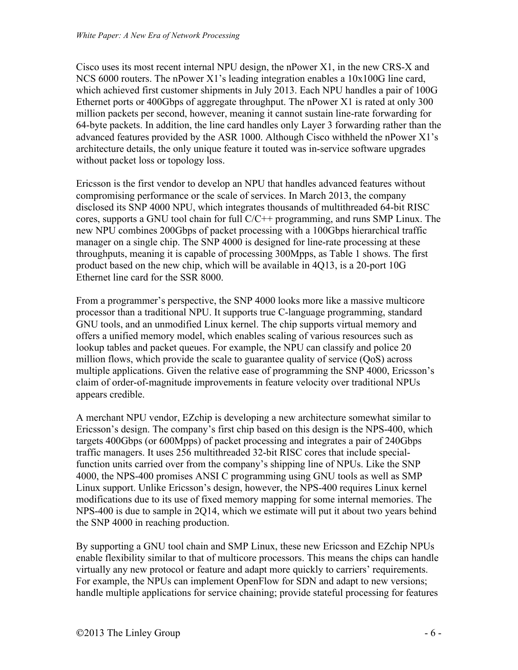Cisco uses its most recent internal NPU design, the nPower X1, in the new CRS-X and NCS 6000 routers. The nPower X1's leading integration enables a 10x100G line card, which achieved first customer shipments in July 2013. Each NPU handles a pair of 100G Ethernet ports or 400Gbps of aggregate throughput. The nPower X1 is rated at only 300 million packets per second, however, meaning it cannot sustain line-rate forwarding for 64-byte packets. In addition, the line card handles only Layer 3 forwarding rather than the advanced features provided by the ASR 1000. Although Cisco withheld the nPower X1's architecture details, the only unique feature it touted was in-service software upgrades without packet loss or topology loss.

Ericsson is the first vendor to develop an NPU that handles advanced features without compromising performance or the scale of services. In March 2013, the company disclosed its SNP 4000 NPU, which integrates thousands of multithreaded 64-bit RISC cores, supports a GNU tool chain for full C/C++ programming, and runs SMP Linux. The new NPU combines 200Gbps of packet processing with a 100Gbps hierarchical traffic manager on a single chip. The SNP 4000 is designed for line-rate processing at these throughputs, meaning it is capable of processing 300Mpps, as Table 1 shows. The first product based on the new chip, which will be available in 4Q13, is a 20-port 10G Ethernet line card for the SSR 8000.

From a programmer's perspective, the SNP 4000 looks more like a massive multicore processor than a traditional NPU. It supports true C-language programming, standard GNU tools, and an unmodified Linux kernel. The chip supports virtual memory and offers a unified memory model, which enables scaling of various resources such as lookup tables and packet queues. For example, the NPU can classify and police 20 million flows, which provide the scale to guarantee quality of service (QoS) across multiple applications. Given the relative ease of programming the SNP 4000, Ericsson's claim of order-of-magnitude improvements in feature velocity over traditional NPUs appears credible.

A merchant NPU vendor, EZchip is developing a new architecture somewhat similar to Ericsson's design. The company's first chip based on this design is the NPS-400, which targets 400Gbps (or 600Mpps) of packet processing and integrates a pair of 240Gbps traffic managers. It uses 256 multithreaded 32-bit RISC cores that include specialfunction units carried over from the company's shipping line of NPUs. Like the SNP 4000, the NPS-400 promises ANSI C programming using GNU tools as well as SMP Linux support. Unlike Ericsson's design, however, the NPS-400 requires Linux kernel modifications due to its use of fixed memory mapping for some internal memories. The NPS-400 is due to sample in 2Q14, which we estimate will put it about two years behind the SNP 4000 in reaching production.

By supporting a GNU tool chain and SMP Linux, these new Ericsson and EZchip NPUs enable flexibility similar to that of multicore processors. This means the chips can handle virtually any new protocol or feature and adapt more quickly to carriers' requirements. For example, the NPUs can implement OpenFlow for SDN and adapt to new versions; handle multiple applications for service chaining; provide stateful processing for features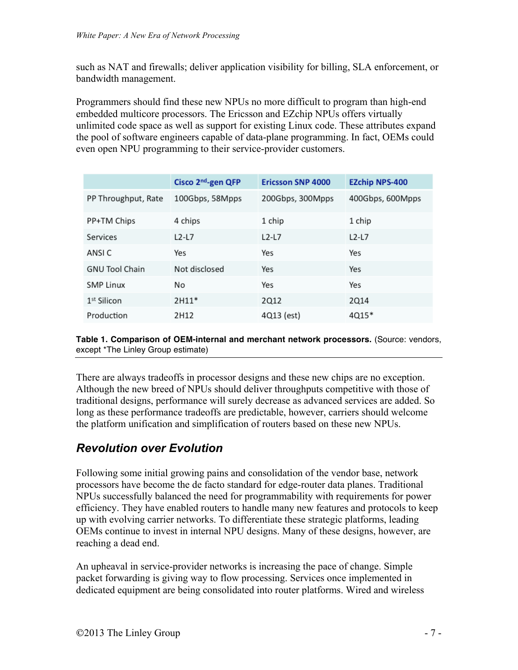such as NAT and firewalls; deliver application visibility for billing, SLA enforcement, or bandwidth management.

Programmers should find these new NPUs no more difficult to program than high-end embedded multicore processors. The Ericsson and EZchip NPUs offers virtually unlimited code space as well as support for existing Linux code. These attributes expand the pool of software engineers capable of data-plane programming. In fact, OEMs could even open NPU programming to their service-provider customers.

|                       | Cisco 2 <sup>nd</sup> -gen QFP | <b>Ericsson SNP 4000</b> | <b>EZchip NPS-400</b> |
|-----------------------|--------------------------------|--------------------------|-----------------------|
| PP Throughput, Rate   | 100Gbps, 58Mpps                | 200Gbps, 300Mpps         | 400Gbps, 600Mpps      |
| PP+TM Chips           | 4 chips                        | 1 chip                   | 1 chip                |
| Services              | $L2-L7$                        | $L2-L7$                  | $L2-L7$               |
| ANSI C                | Yes                            | Yes                      | Yes                   |
| <b>GNU Tool Chain</b> | Not disclosed                  | Yes                      | Yes                   |
| <b>SMP Linux</b>      | No                             | Yes                      | Yes                   |
| $1st$ Silicon         | $2H11*$                        | 2Q12                     | 2014                  |
| Production            | 2H12                           | 4Q13 (est)               | 4Q15*                 |

**Table 1. Comparison of OEM-internal and merchant network processors.** (Source: vendors, except \*The Linley Group estimate)

There are always tradeoffs in processor designs and these new chips are no exception. Although the new breed of NPUs should deliver throughputs competitive with those of traditional designs, performance will surely decrease as advanced services are added. So long as these performance tradeoffs are predictable, however, carriers should welcome the platform unification and simplification of routers based on these new NPUs.

#### *Revolution over Evolution*

Following some initial growing pains and consolidation of the vendor base, network processors have become the de facto standard for edge-router data planes. Traditional NPUs successfully balanced the need for programmability with requirements for power efficiency. They have enabled routers to handle many new features and protocols to keep up with evolving carrier networks. To differentiate these strategic platforms, leading OEMs continue to invest in internal NPU designs. Many of these designs, however, are reaching a dead end.

An upheaval in service-provider networks is increasing the pace of change. Simple packet forwarding is giving way to flow processing. Services once implemented in dedicated equipment are being consolidated into router platforms. Wired and wireless